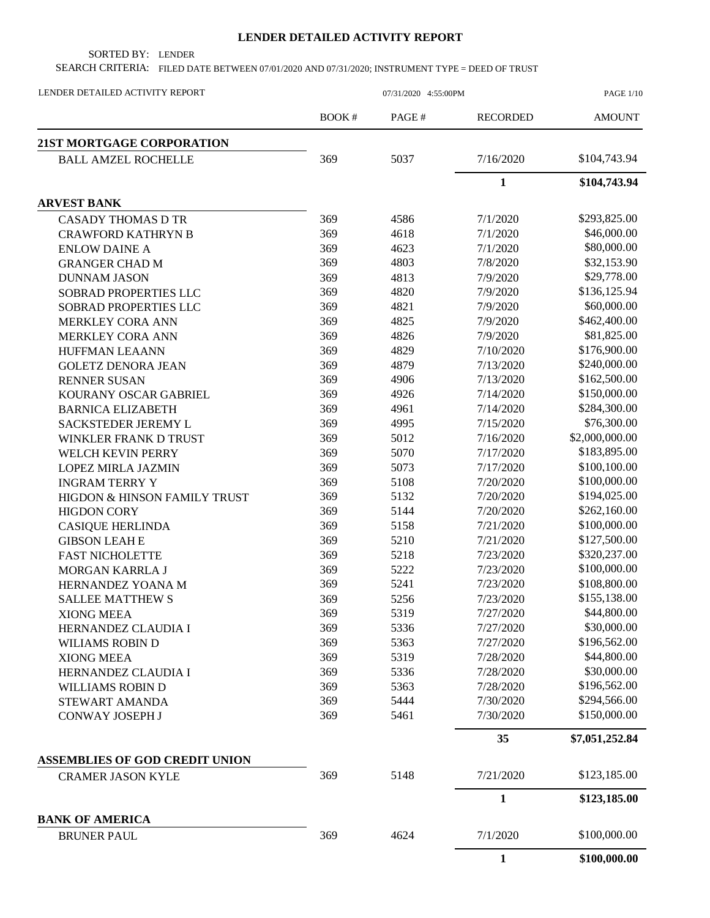## **LENDER DETAILED ACTIVITY REPORT**

SORTED BY: LENDER

SEARCH CRITERIA: FILED DATE BETWEEN 07/01/2020 AND 07/31/2020; INSTRUMENT TYPE = DEED OF TRUST

| LENDER DETAILED ACTIVITY REPORT       | 07/31/2020 4:55:00PM |       |                 | <b>PAGE 1/10</b> |  |
|---------------------------------------|----------------------|-------|-----------------|------------------|--|
|                                       | <b>BOOK#</b>         | PAGE# | <b>RECORDED</b> | <b>AMOUNT</b>    |  |
| 21ST MORTGAGE CORPORATION             |                      |       |                 |                  |  |
| <b>BALL AMZEL ROCHELLE</b>            | 369                  | 5037  | 7/16/2020       | \$104,743.94     |  |
|                                       |                      |       | $\mathbf{1}$    | \$104,743.94     |  |
| <b>ARVEST BANK</b>                    |                      |       |                 |                  |  |
| <b>CASADY THOMAS D TR</b>             | 369                  | 4586  | 7/1/2020        | \$293,825.00     |  |
| <b>CRAWFORD KATHRYN B</b>             | 369                  | 4618  | 7/1/2020        | \$46,000.00      |  |
| <b>ENLOW DAINE A</b>                  | 369                  | 4623  | 7/1/2020        | \$80,000.00      |  |
| <b>GRANGER CHAD M</b>                 | 369                  | 4803  | 7/8/2020        | \$32,153.90      |  |
| <b>DUNNAM JASON</b>                   | 369                  | 4813  | 7/9/2020        | \$29,778.00      |  |
| SOBRAD PROPERTIES LLC                 | 369                  | 4820  | 7/9/2020        | \$136,125.94     |  |
| SOBRAD PROPERTIES LLC                 | 369                  | 4821  | 7/9/2020        | \$60,000.00      |  |
| <b>MERKLEY CORA ANN</b>               | 369                  | 4825  | 7/9/2020        | \$462,400.00     |  |
| MERKLEY CORA ANN                      | 369                  | 4826  | 7/9/2020        | \$81,825.00      |  |
| <b>HUFFMAN LEAANN</b>                 | 369                  | 4829  | 7/10/2020       | \$176,900.00     |  |
| <b>GOLETZ DENORA JEAN</b>             | 369                  | 4879  | 7/13/2020       | \$240,000.00     |  |
| <b>RENNER SUSAN</b>                   | 369                  | 4906  | 7/13/2020       | \$162,500.00     |  |
| KOURANY OSCAR GABRIEL                 | 369                  | 4926  | 7/14/2020       | \$150,000.00     |  |
| <b>BARNICA ELIZABETH</b>              | 369                  | 4961  | 7/14/2020       | \$284,300.00     |  |
| SACKSTEDER JEREMY L                   | 369                  | 4995  | 7/15/2020       | \$76,300.00      |  |
| WINKLER FRANK D TRUST                 | 369                  | 5012  | 7/16/2020       | \$2,000,000.00   |  |
| WELCH KEVIN PERRY                     | 369                  | 5070  | 7/17/2020       | \$183,895.00     |  |
| <b>LOPEZ MIRLA JAZMIN</b>             | 369                  | 5073  | 7/17/2020       | \$100,100.00     |  |
| <b>INGRAM TERRY Y</b>                 | 369                  | 5108  | 7/20/2020       | \$100,000.00     |  |
| HIGDON & HINSON FAMILY TRUST          | 369                  | 5132  | 7/20/2020       | \$194,025.00     |  |
| <b>HIGDON CORY</b>                    | 369                  | 5144  | 7/20/2020       | \$262,160.00     |  |
| <b>CASIQUE HERLINDA</b>               | 369                  | 5158  | 7/21/2020       | \$100,000.00     |  |
| <b>GIBSON LEAH E</b>                  | 369                  | 5210  | 7/21/2020       | \$127,500.00     |  |
| <b>FAST NICHOLETTE</b>                | 369                  | 5218  | 7/23/2020       | \$320,237.00     |  |
| MORGAN KARRLA J                       | 369                  | 5222  | 7/23/2020       | \$100,000.00     |  |
| HERNANDEZ YOANA M                     | 369                  | 5241  | 7/23/2020       | \$108,800.00     |  |
| <b>SALLEE MATTHEW S</b>               | 369                  | 5256  | 7/23/2020       | \$155,138.00     |  |
| <b>XIONG MEEA</b>                     | 369                  | 5319  | 7/27/2020       | \$44,800.00      |  |
| HERNANDEZ CLAUDIA I                   | 369                  | 5336  | 7/27/2020       | \$30,000.00      |  |
| WILIAMS ROBIN D                       | 369                  | 5363  | 7/27/2020       | \$196,562.00     |  |
| <b>XIONG MEEA</b>                     | 369                  | 5319  | 7/28/2020       | \$44,800.00      |  |
| HERNANDEZ CLAUDIA I                   | 369                  | 5336  | 7/28/2020       | \$30,000.00      |  |
| WILLIAMS ROBIN D                      | 369                  | 5363  | 7/28/2020       | \$196,562.00     |  |
| STEWART AMANDA                        | 369                  | 5444  | 7/30/2020       | \$294,566.00     |  |
| CONWAY JOSEPH J                       | 369                  | 5461  | 7/30/2020       | \$150,000.00     |  |
|                                       |                      |       |                 |                  |  |
|                                       |                      |       | 35              | \$7,051,252.84   |  |
| <b>ASSEMBLIES OF GOD CREDIT UNION</b> |                      |       |                 |                  |  |
| <b>CRAMER JASON KYLE</b>              | 369                  | 5148  | 7/21/2020       | \$123,185.00     |  |
|                                       |                      |       | $\mathbf{1}$    | \$123,185.00     |  |
| <b>BANK OF AMERICA</b>                |                      |       |                 | \$100,000.00     |  |
| <b>BRUNER PAUL</b>                    | 369                  | 4624  | 7/1/2020        |                  |  |
|                                       |                      |       | $\mathbf{1}$    | \$100,000.00     |  |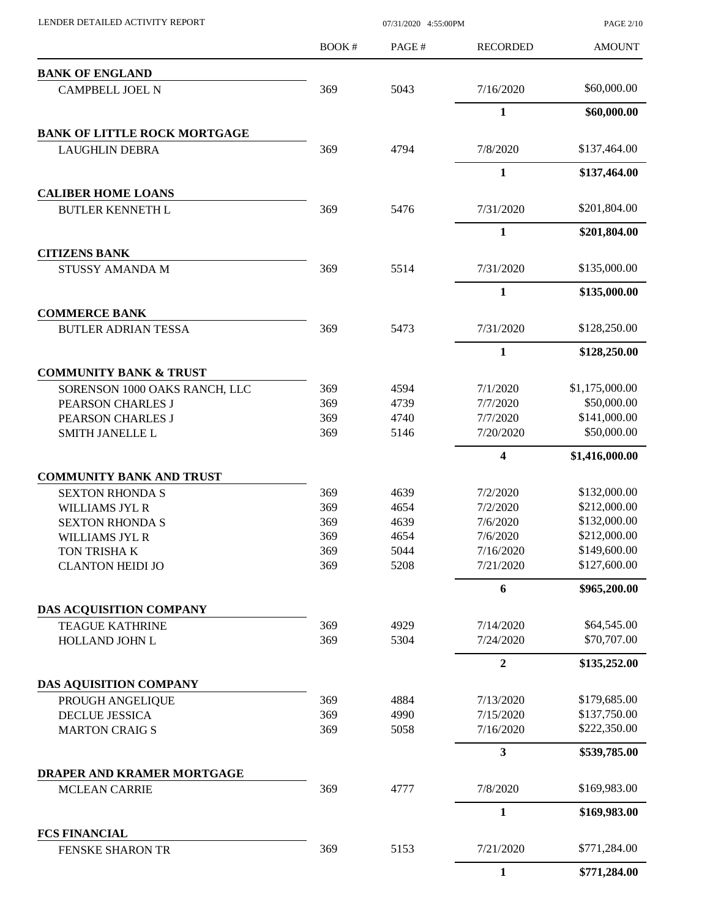| LENDER DETAILED ACTIVITY REPORT                           |       | 07/31/2020 4:55:00PM |                 | <b>PAGE 2/10</b> |
|-----------------------------------------------------------|-------|----------------------|-----------------|------------------|
|                                                           | BOOK# | PAGE#                | <b>RECORDED</b> | <b>AMOUNT</b>    |
| <b>BANK OF ENGLAND</b>                                    |       |                      |                 |                  |
| <b>CAMPBELL JOEL N</b>                                    | 369   | 5043                 | 7/16/2020       | \$60,000.00      |
|                                                           |       |                      | $\mathbf{1}$    | \$60,000.00      |
| <b>BANK OF LITTLE ROCK MORTGAGE</b>                       |       |                      |                 |                  |
| <b>LAUGHLIN DEBRA</b>                                     | 369   | 4794                 | 7/8/2020        | \$137,464.00     |
|                                                           |       |                      | $\mathbf{1}$    | \$137,464.00     |
| <b>CALIBER HOME LOANS</b><br><b>BUTLER KENNETH L</b>      | 369   | 5476                 | 7/31/2020       | \$201,804.00     |
|                                                           |       |                      | 1               | \$201,804.00     |
| <b>CITIZENS BANK</b>                                      |       |                      |                 |                  |
| <b>STUSSY AMANDA M</b>                                    | 369   | 5514                 | 7/31/2020       | \$135,000.00     |
|                                                           |       |                      | $\mathbf{1}$    | \$135,000.00     |
| <b>COMMERCE BANK</b>                                      |       |                      |                 |                  |
| <b>BUTLER ADRIAN TESSA</b>                                | 369   | 5473                 | 7/31/2020       | \$128,250.00     |
|                                                           |       |                      | 1               | \$128,250.00     |
| <b>COMMUNITY BANK &amp; TRUST</b>                         |       |                      |                 |                  |
| SORENSON 1000 OAKS RANCH, LLC                             | 369   | 4594                 | 7/1/2020        | \$1,175,000.00   |
| PEARSON CHARLES J                                         | 369   | 4739                 | 7/7/2020        | \$50,000.00      |
| PEARSON CHARLES J                                         | 369   | 4740                 | 7/7/2020        | \$141,000.00     |
| SMITH JANELLE L                                           | 369   | 5146                 | 7/20/2020       | \$50,000.00      |
|                                                           |       |                      | 4               | \$1,416,000.00   |
| <b>COMMUNITY BANK AND TRUST</b><br><b>SEXTON RHONDA S</b> | 369   | 4639                 | 7/2/2020        | \$132,000.00     |
| WILLIAMS JYL R                                            | 369   | 4654                 | 7/2/2020        | \$212,000.00     |
| <b>SEXTON RHONDA S</b>                                    | 369   | 4639                 | 7/6/2020        | \$132,000.00     |
| WILLIAMS JYL R                                            | 369   | 4654                 | 7/6/2020        | \$212,000.00     |
| TON TRISHA K                                              | 369   | 5044                 | 7/16/2020       | \$149,600.00     |
| <b>CLANTON HEIDI JO</b>                                   | 369   | 5208                 | 7/21/2020       | \$127,600.00     |
|                                                           |       |                      | 6               | \$965,200.00     |
| DAS ACQUISITION COMPANY                                   |       |                      |                 |                  |
| <b>TEAGUE KATHRINE</b>                                    | 369   | 4929                 | 7/14/2020       | \$64,545.00      |
| HOLLAND JOHN L                                            | 369   | 5304                 | 7/24/2020       | \$70,707.00      |
|                                                           |       |                      | $\overline{2}$  | \$135,252.00     |
| <b>DAS AQUISITION COMPANY</b>                             |       |                      |                 |                  |
| PROUGH ANGELIQUE                                          | 369   | 4884                 | 7/13/2020       | \$179,685.00     |
| DECLUE JESSICA                                            | 369   | 4990                 | 7/15/2020       | \$137,750.00     |
| <b>MARTON CRAIGS</b>                                      | 369   | 5058                 | 7/16/2020       | \$222,350.00     |
| DRAPER AND KRAMER MORTGAGE                                |       |                      | 3               | \$539,785.00     |
| <b>MCLEAN CARRIE</b>                                      | 369   | 4777                 | 7/8/2020        | \$169,983.00     |
|                                                           |       |                      | $\mathbf{1}$    | \$169,983.00     |
| <b>FCS FINANCIAL</b>                                      |       |                      |                 |                  |
| <b>FENSKE SHARON TR</b>                                   | 369   | 5153                 | 7/21/2020       | \$771,284.00     |
|                                                           |       |                      | 1               | \$771,284.00     |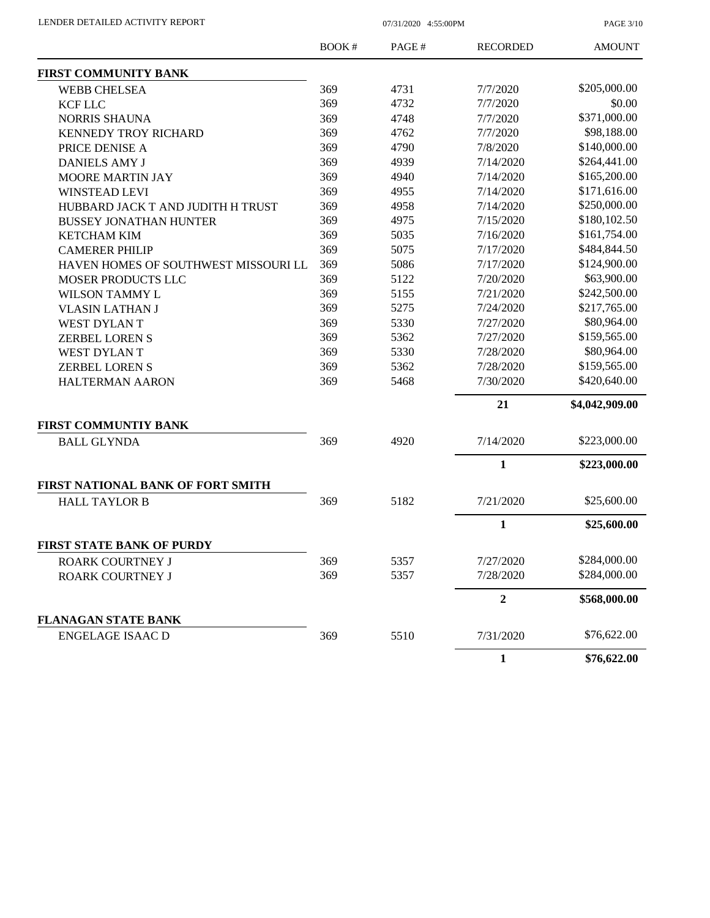PAGE 3/10

|                                      | BOOK# | PAGE# | <b>RECORDED</b> | <b>AMOUNT</b>  |
|--------------------------------------|-------|-------|-----------------|----------------|
| <b>FIRST COMMUNITY BANK</b>          |       |       |                 |                |
| <b>WEBB CHELSEA</b>                  | 369   | 4731  | 7/7/2020        | \$205,000.00   |
| <b>KCF LLC</b>                       | 369   | 4732  | 7/7/2020        | \$0.00         |
| <b>NORRIS SHAUNA</b>                 | 369   | 4748  | 7/7/2020        | \$371,000.00   |
| KENNEDY TROY RICHARD                 | 369   | 4762  | 7/7/2020        | \$98,188.00    |
| PRICE DENISE A                       | 369   | 4790  | 7/8/2020        | \$140,000.00   |
| <b>DANIELS AMY J</b>                 | 369   | 4939  | 7/14/2020       | \$264,441.00   |
| <b>MOORE MARTIN JAY</b>              | 369   | 4940  | 7/14/2020       | \$165,200.00   |
| <b>WINSTEAD LEVI</b>                 | 369   | 4955  | 7/14/2020       | \$171,616.00   |
| HUBBARD JACK T AND JUDITH H TRUST    | 369   | 4958  | 7/14/2020       | \$250,000.00   |
| <b>BUSSEY JONATHAN HUNTER</b>        | 369   | 4975  | 7/15/2020       | \$180,102.50   |
| <b>KETCHAM KIM</b>                   | 369   | 5035  | 7/16/2020       | \$161,754.00   |
| <b>CAMERER PHILIP</b>                | 369   | 5075  | 7/17/2020       | \$484,844.50   |
| HAVEN HOMES OF SOUTHWEST MISSOURI LL | 369   | 5086  | 7/17/2020       | \$124,900.00   |
| MOSER PRODUCTS LLC                   | 369   | 5122  | 7/20/2020       | \$63,900.00    |
| <b>WILSON TAMMY L</b>                | 369   | 5155  | 7/21/2020       | \$242,500.00   |
| <b>VLASIN LATHAN J</b>               | 369   | 5275  | 7/24/2020       | \$217,765.00   |
| <b>WEST DYLANT</b>                   | 369   | 5330  | 7/27/2020       | \$80,964.00    |
| <b>ZERBEL LOREN S</b>                | 369   | 5362  | 7/27/2020       | \$159,565.00   |
| WEST DYLAN T                         | 369   | 5330  | 7/28/2020       | \$80,964.00    |
| <b>ZERBEL LOREN S</b>                | 369   | 5362  | 7/28/2020       | \$159,565.00   |
| <b>HALTERMAN AARON</b>               | 369   | 5468  | 7/30/2020       | \$420,640.00   |
|                                      |       |       | 21              | \$4,042,909.00 |
| <b>FIRST COMMUNTIY BANK</b>          |       |       |                 |                |
| <b>BALL GLYNDA</b>                   | 369   | 4920  | 7/14/2020       | \$223,000.00   |
|                                      |       |       | 1               | \$223,000.00   |
| FIRST NATIONAL BANK OF FORT SMITH    |       |       |                 |                |
| <b>HALL TAYLOR B</b>                 | 369   | 5182  | 7/21/2020       | \$25,600.00    |
|                                      |       |       | $\mathbf{1}$    | \$25,600.00    |
| <b>FIRST STATE BANK OF PURDY</b>     |       |       |                 |                |
| ROARK COURTNEY J                     | 369   | 5357  | 7/27/2020       | \$284,000.00   |
| ROARK COURTNEY J                     | 369   | 5357  | 7/28/2020       | \$284,000.00   |
|                                      |       |       | 2               | \$568,000.00   |
| <b>FLANAGAN STATE BANK</b>           |       |       |                 |                |
| <b>ENGELAGE ISAAC D</b>              | 369   | 5510  | 7/31/2020       | \$76,622.00    |
|                                      |       |       | $\mathbf{1}$    | \$76,622.00    |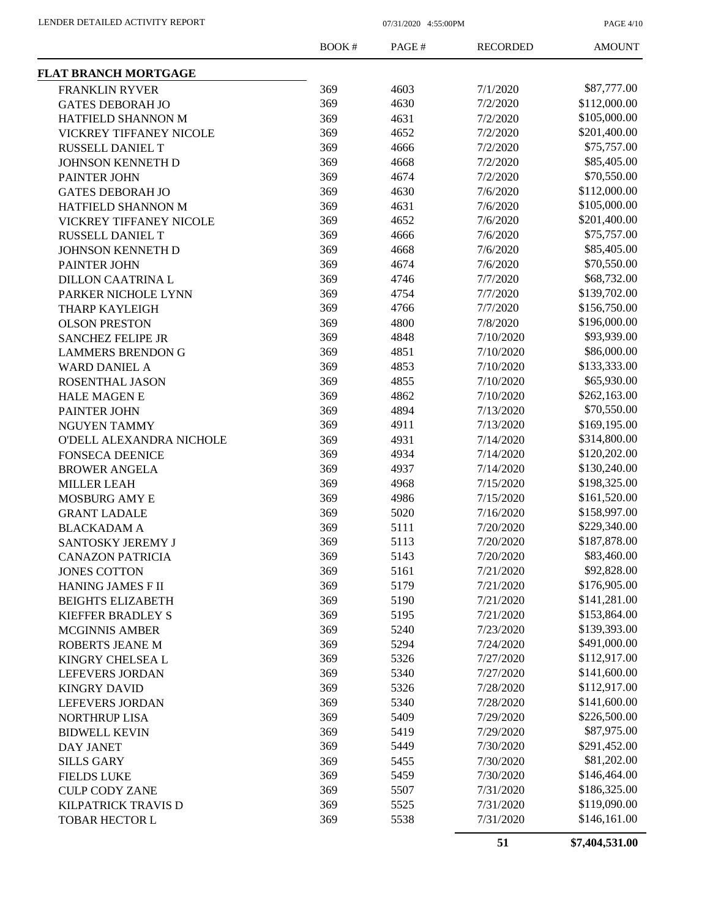PAGE 4/10

|                             | BOOK#      | PAGE# | <b>RECORDED</b> | <b>AMOUNT</b> |
|-----------------------------|------------|-------|-----------------|---------------|
| <b>FLAT BRANCH MORTGAGE</b> |            |       |                 |               |
| <b>FRANKLIN RYVER</b>       | 369        | 4603  | 7/1/2020        | \$87,777.00   |
| <b>GATES DEBORAH JO</b>     | 369        | 4630  | 7/2/2020        | \$112,000.00  |
| HATFIELD SHANNON M          | 369        | 4631  | 7/2/2020        | \$105,000.00  |
| VICKREY TIFFANEY NICOLE     | 369        | 4652  | 7/2/2020        | \$201,400.00  |
| RUSSELL DANIEL T            | 369        | 4666  | 7/2/2020        | \$75,757.00   |
| JOHNSON KENNETH D           | 369        | 4668  | 7/2/2020        | \$85,405.00   |
| PAINTER JOHN                | 369        | 4674  | 7/2/2020        | \$70,550.00   |
| <b>GATES DEBORAH JO</b>     | 369        | 4630  | 7/6/2020        | \$112,000.00  |
| HATFIELD SHANNON M          | 369        | 4631  | 7/6/2020        | \$105,000.00  |
| VICKREY TIFFANEY NICOLE     | 369        | 4652  | 7/6/2020        | \$201,400.00  |
| RUSSELL DANIEL T            | 369        | 4666  | 7/6/2020        | \$75,757.00   |
| JOHNSON KENNETH D           | 369        | 4668  | 7/6/2020        | \$85,405.00   |
| PAINTER JOHN                | 369        | 4674  | 7/6/2020        | \$70,550.00   |
| DILLON CAATRINA L           | 369        | 4746  | 7/7/2020        | \$68,732.00   |
| PARKER NICHOLE LYNN         | 369        | 4754  | 7/7/2020        | \$139,702.00  |
| THARP KAYLEIGH              | 369        | 4766  | 7/7/2020        | \$156,750.00  |
| <b>OLSON PRESTON</b>        | 369        | 4800  | 7/8/2020        | \$196,000.00  |
| <b>SANCHEZ FELIPE JR</b>    | 369        | 4848  | 7/10/2020       | \$93,939.00   |
| <b>LAMMERS BRENDON G</b>    | 369        | 4851  | 7/10/2020       | \$86,000.00   |
| <b>WARD DANIEL A</b>        | 369        | 4853  | 7/10/2020       | \$133,333.00  |
| ROSENTHAL JASON             | 369        | 4855  | 7/10/2020       | \$65,930.00   |
| <b>HALE MAGEN E</b>         | 369        | 4862  | 7/10/2020       | \$262,163.00  |
| PAINTER JOHN                | 369        | 4894  | 7/13/2020       | \$70,550.00   |
|                             | 369        | 4911  | 7/13/2020       | \$169,195.00  |
| NGUYEN TAMMY                | 369        | 4931  |                 | \$314,800.00  |
| O'DELL ALEXANDRA NICHOLE    | 369        | 4934  | 7/14/2020       | \$120,202.00  |
| <b>FONSECA DEENICE</b>      |            |       | 7/14/2020       | \$130,240.00  |
| <b>BROWER ANGELA</b>        | 369<br>369 | 4937  | 7/14/2020       | \$198,325.00  |
| <b>MILLER LEAH</b>          |            | 4968  | 7/15/2020       |               |
| MOSBURG AMY E               | 369        | 4986  | 7/15/2020       | \$161,520.00  |
| <b>GRANT LADALE</b>         | 369        | 5020  | 7/16/2020       | \$158,997.00  |
| <b>BLACKADAM A</b>          | 369        | 5111  | 7/20/2020       | \$229,340.00  |
| SANTOSKY JEREMY J           | 369        | 5113  | 7/20/2020       | \$187,878.00  |
| <b>CANAZON PATRICIA</b>     | 369        | 5143  | 7/20/2020       | \$83,460.00   |
| <b>JONES COTTON</b>         | 369        | 5161  | 7/21/2020       | \$92,828.00   |
| <b>HANING JAMES F II</b>    | 369        | 5179  | 7/21/2020       | \$176,905.00  |
| <b>BEIGHTS ELIZABETH</b>    | 369        | 5190  | 7/21/2020       | \$141,281.00  |
| <b>KIEFFER BRADLEY S</b>    | 369        | 5195  | 7/21/2020       | \$153,864.00  |
| <b>MCGINNIS AMBER</b>       | 369        | 5240  | 7/23/2020       | \$139,393.00  |
| ROBERTS JEANE M             | 369        | 5294  | 7/24/2020       | \$491,000.00  |
| KINGRY CHELSEA L            | 369        | 5326  | 7/27/2020       | \$112,917.00  |
| <b>LEFEVERS JORDAN</b>      | 369        | 5340  | 7/27/2020       | \$141,600.00  |
| <b>KINGRY DAVID</b>         | 369        | 5326  | 7/28/2020       | \$112,917.00  |
| <b>LEFEVERS JORDAN</b>      | 369        | 5340  | 7/28/2020       | \$141,600.00  |
| <b>NORTHRUP LISA</b>        | 369        | 5409  | 7/29/2020       | \$226,500.00  |
| <b>BIDWELL KEVIN</b>        | 369        | 5419  | 7/29/2020       | \$87,975.00   |
| <b>DAY JANET</b>            | 369        | 5449  | 7/30/2020       | \$291,452.00  |
| <b>SILLS GARY</b>           | 369        | 5455  | 7/30/2020       | \$81,202.00   |
| <b>FIELDS LUKE</b>          | 369        | 5459  | 7/30/2020       | \$146,464.00  |
| <b>CULP CODY ZANE</b>       | 369        | 5507  | 7/31/2020       | \$186,325.00  |
| KILPATRICK TRAVIS D         | 369        | 5525  | 7/31/2020       | \$119,090.00  |
| <b>TOBAR HECTOR L</b>       | 369        | 5538  | 7/31/2020       | \$146,161.00  |
|                             |            |       |                 |               |

**51 \$7,404,531.00**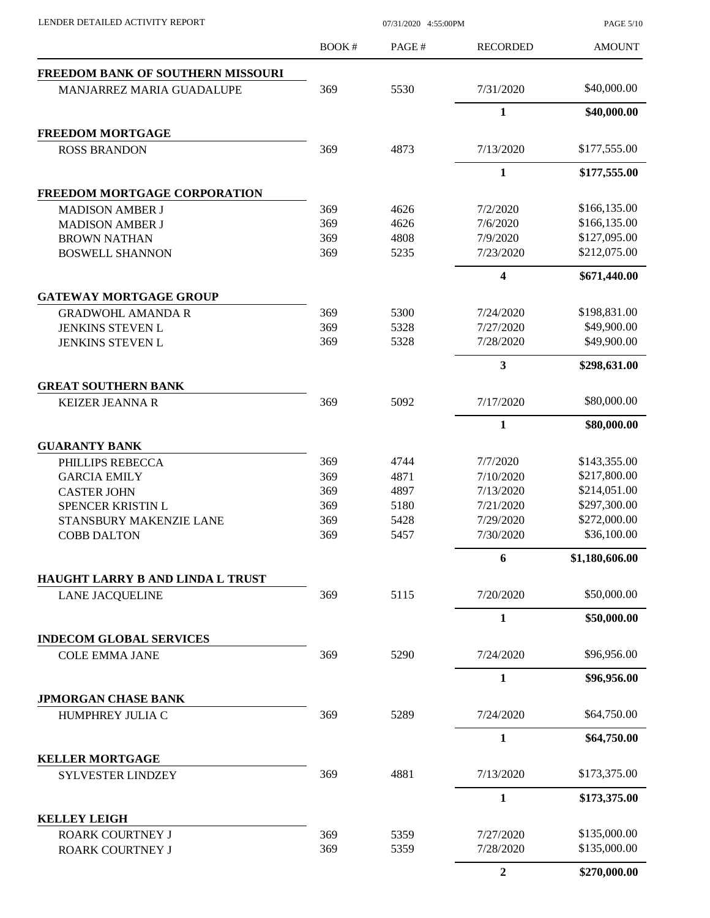PAGE 5/10

|                                                      | BOOK#      | PAGE#        | <b>RECORDED</b>         | <b>AMOUNT</b>  |
|------------------------------------------------------|------------|--------------|-------------------------|----------------|
| FREEDOM BANK OF SOUTHERN MISSOURI                    |            |              |                         |                |
| MANJARREZ MARIA GUADALUPE                            | 369        | 5530         | 7/31/2020               | \$40,000.00    |
|                                                      |            |              | 1                       | \$40,000.00    |
| <b>FREEDOM MORTGAGE</b>                              |            |              |                         |                |
| <b>ROSS BRANDON</b>                                  | 369        | 4873         | 7/13/2020               | \$177,555.00   |
|                                                      |            |              | $\mathbf{1}$            | \$177,555.00   |
| FREEDOM MORTGAGE CORPORATION                         |            |              |                         |                |
| <b>MADISON AMBER J</b>                               | 369        | 4626         | 7/2/2020                | \$166,135.00   |
| <b>MADISON AMBER J</b>                               | 369        | 4626         | 7/6/2020                | \$166,135.00   |
| <b>BROWN NATHAN</b>                                  | 369        | 4808         | 7/9/2020                | \$127,095.00   |
| <b>BOSWELL SHANNON</b>                               | 369        | 5235         | 7/23/2020               | \$212,075.00   |
|                                                      |            |              | $\overline{\mathbf{4}}$ | \$671,440.00   |
| <b>GATEWAY MORTGAGE GROUP</b>                        |            |              |                         |                |
| <b>GRADWOHL AMANDA R</b>                             | 369        | 5300         | 7/24/2020               | \$198,831.00   |
| JENKINS STEVEN L                                     | 369        | 5328         | 7/27/2020               | \$49,900.00    |
| <b>JENKINS STEVEN L</b>                              | 369        | 5328         | 7/28/2020               | \$49,900.00    |
|                                                      |            |              | $\mathbf{3}$            | \$298,631.00   |
| <b>GREAT SOUTHERN BANK</b><br><b>KEIZER JEANNA R</b> | 369        | 5092         | 7/17/2020               | \$80,000.00    |
|                                                      |            |              | $\mathbf{1}$            | \$80,000.00    |
| <b>GUARANTY BANK</b>                                 |            |              |                         |                |
| PHILLIPS REBECCA                                     | 369        | 4744         | 7/7/2020                | \$143,355.00   |
| <b>GARCIA EMILY</b>                                  | 369        | 4871         | 7/10/2020               | \$217,800.00   |
| <b>CASTER JOHN</b>                                   | 369        | 4897         | 7/13/2020               | \$214,051.00   |
| SPENCER KRISTIN L                                    | 369        | 5180         | 7/21/2020               | \$297,300.00   |
| STANSBURY MAKENZIE LANE                              | 369        | 5428         | 7/29/2020               | \$272,000.00   |
| <b>COBB DALTON</b>                                   | 369        | 5457         | 7/30/2020               | \$36,100.00    |
|                                                      |            |              | 6                       | \$1,180,606.00 |
| <b>HAUGHT LARRY B AND LINDA L TRUST</b>              |            |              |                         |                |
| <b>LANE JACQUELINE</b>                               | 369        | 5115         | 7/20/2020               | \$50,000.00    |
|                                                      |            |              | $\mathbf{1}$            | \$50,000.00    |
| <b>INDECOM GLOBAL SERVICES</b>                       |            |              |                         |                |
| <b>COLE EMMA JANE</b>                                | 369        | 5290         | 7/24/2020               | \$96,956.00    |
|                                                      |            |              | 1                       | \$96,956.00    |
| <b>JPMORGAN CHASE BANK</b>                           |            |              |                         |                |
| HUMPHREY JULIA C                                     | 369        | 5289         | 7/24/2020               | \$64,750.00    |
|                                                      |            |              | $\mathbf{1}$            | \$64,750.00    |
| <b>KELLER MORTGAGE</b><br>SYLVESTER LINDZEY          | 369        | 4881         | 7/13/2020               | \$173,375.00   |
|                                                      |            |              |                         |                |
|                                                      |            |              | $\mathbf{1}$            | \$173,375.00   |
| <b>KELLEY LEIGH</b>                                  |            |              |                         | \$135,000.00   |
| <b>ROARK COURTNEY J</b><br>ROARK COURTNEY J          | 369<br>369 | 5359<br>5359 | 7/27/2020<br>7/28/2020  | \$135,000.00   |
|                                                      |            |              |                         |                |
|                                                      |            |              | $\boldsymbol{2}$        | \$270,000.00   |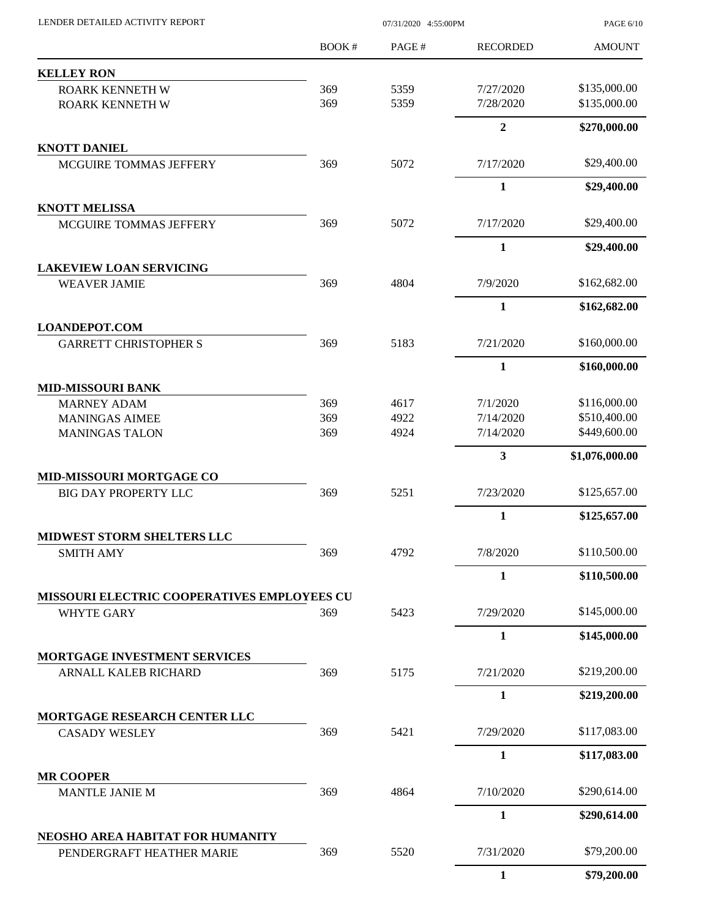| LENDER DETAILED ACTIVITY REPORT                         | 07/31/2020 4:55:00PM |       |                 | PAGE 6/10      |  |
|---------------------------------------------------------|----------------------|-------|-----------------|----------------|--|
|                                                         | <b>BOOK#</b>         | PAGE# | <b>RECORDED</b> | <b>AMOUNT</b>  |  |
| <b>KELLEY RON</b>                                       |                      |       |                 |                |  |
| <b>ROARK KENNETH W</b>                                  | 369                  | 5359  | 7/27/2020       | \$135,000.00   |  |
| ROARK KENNETH W                                         | 369                  | 5359  | 7/28/2020       | \$135,000.00   |  |
|                                                         |                      |       | $\overline{2}$  | \$270,000.00   |  |
| <b>KNOTT DANIEL</b>                                     |                      |       |                 |                |  |
| MCGUIRE TOMMAS JEFFERY                                  | 369                  | 5072  | 7/17/2020       | \$29,400.00    |  |
|                                                         |                      |       | $\mathbf{1}$    | \$29,400.00    |  |
| <b>KNOTT MELISSA</b>                                    |                      |       |                 | \$29,400.00    |  |
| MCGUIRE TOMMAS JEFFERY                                  | 369                  | 5072  | 7/17/2020       |                |  |
| <b>LAKEVIEW LOAN SERVICING</b>                          |                      |       | 1               | \$29,400.00    |  |
| <b>WEAVER JAMIE</b>                                     | 369                  | 4804  | 7/9/2020        | \$162,682.00   |  |
|                                                         |                      |       | $\mathbf{1}$    | \$162,682.00   |  |
| <b>LOANDEPOT.COM</b>                                    |                      |       |                 |                |  |
| <b>GARRETT CHRISTOPHER S</b>                            | 369                  | 5183  | 7/21/2020       | \$160,000.00   |  |
|                                                         |                      |       | 1               | \$160,000.00   |  |
| <b>MID-MISSOURI BANK</b>                                |                      |       |                 |                |  |
| <b>MARNEY ADAM</b>                                      | 369                  | 4617  | 7/1/2020        | \$116,000.00   |  |
| <b>MANINGAS AIMEE</b>                                   | 369                  | 4922  | 7/14/2020       | \$510,400.00   |  |
| <b>MANINGAS TALON</b>                                   | 369                  | 4924  | 7/14/2020       | \$449,600.00   |  |
|                                                         |                      |       | 3               | \$1,076,000.00 |  |
| MID-MISSOURI MORTGAGE CO<br><b>BIG DAY PROPERTY LLC</b> | 369                  | 5251  | 7/23/2020       | \$125,657.00   |  |
|                                                         |                      |       | $\mathbf{1}$    | \$125,657.00   |  |
|                                                         |                      |       |                 |                |  |
| MIDWEST STORM SHELTERS LLC<br><b>SMITH AMY</b>          | 369                  | 4792  | 7/8/2020        | \$110,500.00   |  |
|                                                         |                      |       | 1               | \$110,500.00   |  |
| MISSOURI ELECTRIC COOPERATIVES EMPLOYEES CU             |                      |       |                 |                |  |
| <b>WHYTE GARY</b>                                       | 369                  | 5423  | 7/29/2020       | \$145,000.00   |  |
|                                                         |                      |       | $\mathbf{1}$    | \$145,000.00   |  |
| MORTGAGE INVESTMENT SERVICES                            |                      |       |                 |                |  |
| ARNALL KALEB RICHARD                                    | 369                  | 5175  | 7/21/2020       | \$219,200.00   |  |
|                                                         |                      |       | $\mathbf{1}$    | \$219,200.00   |  |
| <b>MORTGAGE RESEARCH CENTER LLC</b>                     |                      |       |                 |                |  |
| <b>CASADY WESLEY</b>                                    | 369                  | 5421  | 7/29/2020       | \$117,083.00   |  |
|                                                         |                      |       | 1               | \$117,083.00   |  |
| <b>MR COOPER</b><br><b>MANTLE JANIE M</b>               | 369                  | 4864  | 7/10/2020       | \$290,614.00   |  |
|                                                         |                      |       | $\mathbf{1}$    | \$290,614.00   |  |
| NEOSHO AREA HABITAT FOR HUMANITY                        |                      |       |                 |                |  |
| PENDERGRAFT HEATHER MARIE                               | 369                  | 5520  | 7/31/2020       | \$79,200.00    |  |
|                                                         |                      |       | $\mathbf{1}$    | \$79,200.00    |  |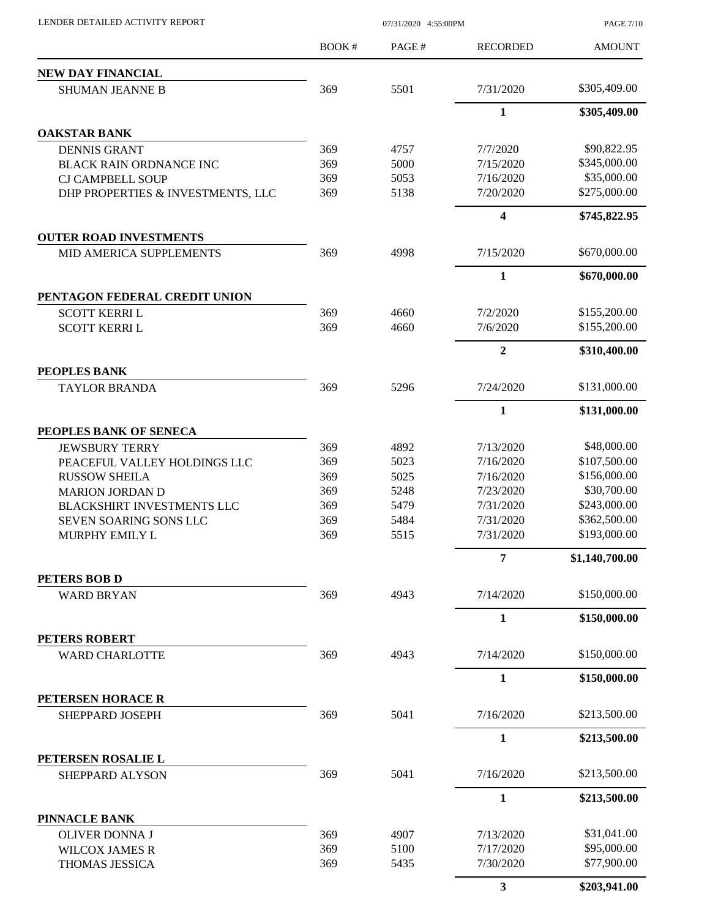| LENDER DETAILED ACTIVITY REPORT        | 07/31/2020 4:55:00PM |       |                 | <b>PAGE 7/10</b>           |  |
|----------------------------------------|----------------------|-------|-----------------|----------------------------|--|
|                                        | BOOK#                | PAGE# | <b>RECORDED</b> | <b>AMOUNT</b>              |  |
| NEW DAY FINANCIAL                      |                      |       |                 |                            |  |
| <b>SHUMAN JEANNE B</b>                 | 369                  | 5501  | 7/31/2020       | \$305,409.00               |  |
|                                        |                      |       | $\mathbf{1}$    | \$305,409.00               |  |
| <b>OAKSTAR BANK</b>                    |                      |       |                 |                            |  |
| <b>DENNIS GRANT</b>                    | 369                  | 4757  | 7/7/2020        | \$90,822.95                |  |
| <b>BLACK RAIN ORDNANCE INC</b>         | 369                  | 5000  | 7/15/2020       | \$345,000.00               |  |
| <b>CJ CAMPBELL SOUP</b>                | 369                  | 5053  | 7/16/2020       | \$35,000.00                |  |
| DHP PROPERTIES & INVESTMENTS, LLC      | 369                  | 5138  | 7/20/2020       | \$275,000.00               |  |
|                                        |                      |       | 4               | \$745,822.95               |  |
| <b>OUTER ROAD INVESTMENTS</b>          |                      |       |                 |                            |  |
| MID AMERICA SUPPLEMENTS                | 369                  | 4998  | 7/15/2020       | \$670,000.00               |  |
|                                        |                      |       | 1               | \$670,000.00               |  |
| PENTAGON FEDERAL CREDIT UNION          |                      |       |                 |                            |  |
| <b>SCOTT KERRIL</b>                    | 369                  | 4660  | 7/2/2020        | \$155,200.00               |  |
| <b>SCOTT KERRIL</b>                    | 369                  | 4660  | 7/6/2020        | \$155,200.00               |  |
|                                        |                      |       | $\overline{2}$  | \$310,400.00               |  |
| PEOPLES BANK<br><b>TAYLOR BRANDA</b>   | 369                  | 5296  | 7/24/2020       | \$131,000.00               |  |
|                                        |                      |       | $\mathbf{1}$    | \$131,000.00               |  |
| PEOPLES BANK OF SENECA                 |                      |       |                 |                            |  |
| <b>JEWSBURY TERRY</b>                  | 369                  | 4892  | 7/13/2020       | \$48,000.00                |  |
| PEACEFUL VALLEY HOLDINGS LLC           | 369                  | 5023  | 7/16/2020       | \$107,500.00               |  |
| <b>RUSSOW SHEILA</b>                   | 369                  | 5025  | 7/16/2020       | \$156,000.00               |  |
| <b>MARION JORDAN D</b>                 | 369                  | 5248  | 7/23/2020       | \$30,700.00                |  |
| BLACKSHIRT INVESTMENTS LLC             | 369                  | 5479  | 7/31/2020       | \$243,000.00               |  |
| SEVEN SOARING SONS LLC                 | 369                  | 5484  | 7/31/2020       | \$362,500.00               |  |
| MURPHY EMILY L                         | 369                  | 5515  | 7/31/2020       | \$193,000.00               |  |
|                                        |                      |       | 7               | \$1,140,700.00             |  |
| PETERS BOB D                           |                      |       |                 |                            |  |
| <b>WARD BRYAN</b>                      | 369                  | 4943  | 7/14/2020       | \$150,000.00               |  |
|                                        |                      |       | $\mathbf{1}$    | \$150,000.00               |  |
| PETERS ROBERT<br><b>WARD CHARLOTTE</b> | 369                  | 4943  | 7/14/2020       | \$150,000.00               |  |
|                                        |                      |       | 1               | \$150,000.00               |  |
| PETERSEN HORACE R                      |                      |       |                 |                            |  |
| SHEPPARD JOSEPH                        | 369                  | 5041  | 7/16/2020       | \$213,500.00               |  |
|                                        |                      |       | $\mathbf{1}$    | \$213,500.00               |  |
| PETERSEN ROSALIE L                     |                      |       |                 |                            |  |
| SHEPPARD ALYSON                        | 369                  | 5041  | 7/16/2020       | \$213,500.00               |  |
|                                        |                      |       | 1               | \$213,500.00               |  |
| PINNACLE BANK                          |                      |       |                 |                            |  |
| <b>OLIVER DONNA J</b>                  | 369                  | 4907  | 7/13/2020       | \$31,041.00                |  |
| <b>WILCOX JAMES R</b>                  | 369<br>369           | 5100  | 7/17/2020       | \$95,000.00<br>\$77,900.00 |  |
| THOMAS JESSICA                         |                      | 5435  | 7/30/2020       |                            |  |
|                                        |                      |       | 3               | \$203,941.00               |  |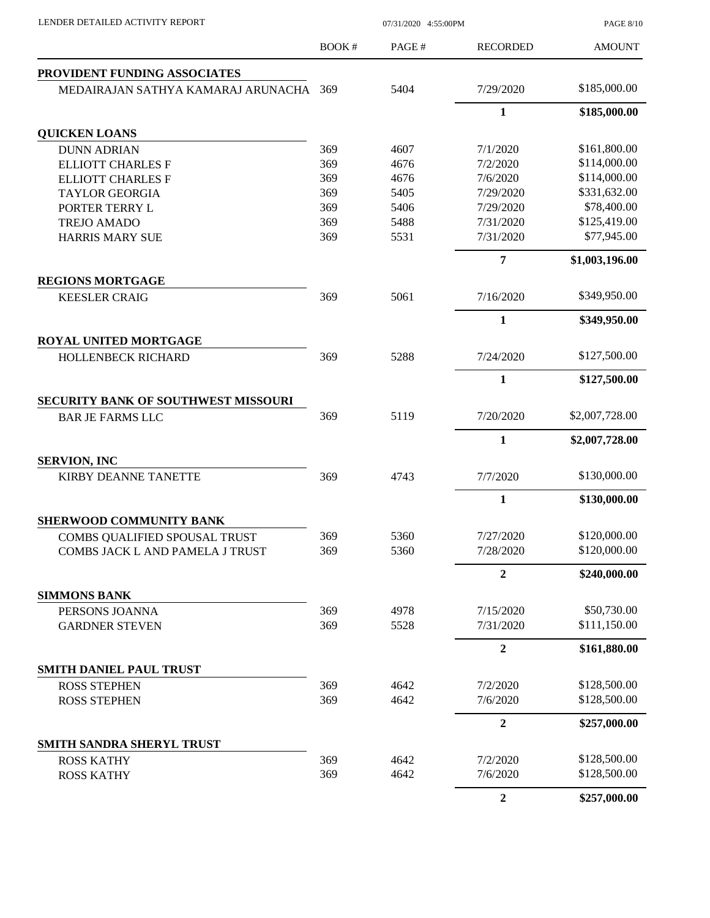| LENDER DETAILED ACTIVITY REPORT                    | 07/31/2020 4:55:00PM |              |                      | <b>PAGE 8/10</b>             |
|----------------------------------------------------|----------------------|--------------|----------------------|------------------------------|
|                                                    | BOOK#                | PAGE#        | <b>RECORDED</b>      | <b>AMOUNT</b>                |
| PROVIDENT FUNDING ASSOCIATES                       |                      |              |                      |                              |
| MEDAIRAJAN SATHYA KAMARAJ ARUNACHA                 | 369                  | 5404         | 7/29/2020            | \$185,000.00                 |
|                                                    |                      |              | $\mathbf{1}$         | \$185,000.00                 |
| <b>QUICKEN LOANS</b>                               |                      |              |                      |                              |
| <b>DUNN ADRIAN</b>                                 | 369                  | 4607         | 7/1/2020             | \$161,800.00                 |
| <b>ELLIOTT CHARLES F</b>                           | 369                  | 4676         | 7/2/2020             | \$114,000.00                 |
| <b>ELLIOTT CHARLES F</b>                           | 369                  | 4676         | 7/6/2020             | \$114,000.00                 |
| <b>TAYLOR GEORGIA</b>                              | 369                  | 5405         | 7/29/2020            | \$331,632.00                 |
| PORTER TERRY L                                     | 369                  | 5406         | 7/29/2020            | \$78,400.00                  |
| <b>TREJO AMADO</b>                                 | 369                  | 5488         | 7/31/2020            | \$125,419.00                 |
| <b>HARRIS MARY SUE</b>                             | 369                  | 5531         | 7/31/2020            | \$77,945.00                  |
|                                                    |                      |              | 7                    | \$1,003,196.00               |
| <b>REGIONS MORTGAGE</b>                            | 369                  | 5061         | 7/16/2020            | \$349,950.00                 |
| <b>KEESLER CRAIG</b>                               |                      |              |                      |                              |
|                                                    |                      |              | $\mathbf{1}$         | \$349,950.00                 |
| <b>ROYAL UNITED MORTGAGE</b><br>HOLLENBECK RICHARD | 369                  | 5288         | 7/24/2020            | \$127,500.00                 |
|                                                    |                      |              | 1                    | \$127,500.00                 |
| <b>SECURITY BANK OF SOUTHWEST MISSOURI</b>         |                      |              |                      |                              |
| <b>BAR JE FARMS LLC</b>                            | 369                  | 5119         | 7/20/2020            | \$2,007,728.00               |
|                                                    |                      |              | 1                    | \$2,007,728.00               |
| <b>SERVION, INC</b>                                |                      |              |                      |                              |
| <b>KIRBY DEANNE TANETTE</b>                        | 369                  | 4743         | 7/7/2020             | \$130,000.00                 |
|                                                    |                      |              | $\mathbf{1}$         | \$130,000.00                 |
| <b>SHERWOOD COMMUNITY BANK</b>                     |                      |              |                      |                              |
| COMBS QUALIFIED SPOUSAL TRUST                      | 369                  | 5360         | 7/27/2020            | \$120,000.00                 |
| COMBS JACK L AND PAMELA J TRUST                    | 369                  | 5360         | 7/28/2020            | \$120,000.00                 |
|                                                    |                      |              | $\overline{2}$       | \$240,000.00                 |
| <b>SIMMONS BANK</b>                                |                      |              |                      |                              |
| PERSONS JOANNA                                     | 369                  | 4978         | 7/15/2020            | \$50,730.00                  |
| <b>GARDNER STEVEN</b>                              | 369                  | 5528         | 7/31/2020            | \$111,150.00                 |
|                                                    |                      |              | $\overline{2}$       | \$161,880.00                 |
| SMITH DANIEL PAUL TRUST                            |                      |              |                      |                              |
| <b>ROSS STEPHEN</b>                                | 369                  | 4642         | 7/2/2020             | \$128,500.00                 |
| <b>ROSS STEPHEN</b>                                | 369                  | 4642         | 7/6/2020             | \$128,500.00                 |
|                                                    |                      |              | $\overline{2}$       | \$257,000.00                 |
| <b>SMITH SANDRA SHERYL TRUST</b>                   |                      |              |                      |                              |
| <b>ROSS KATHY</b><br><b>ROSS KATHY</b>             | 369<br>369           | 4642<br>4642 | 7/2/2020<br>7/6/2020 | \$128,500.00<br>\$128,500.00 |
|                                                    |                      |              | $\overline{2}$       | \$257,000.00                 |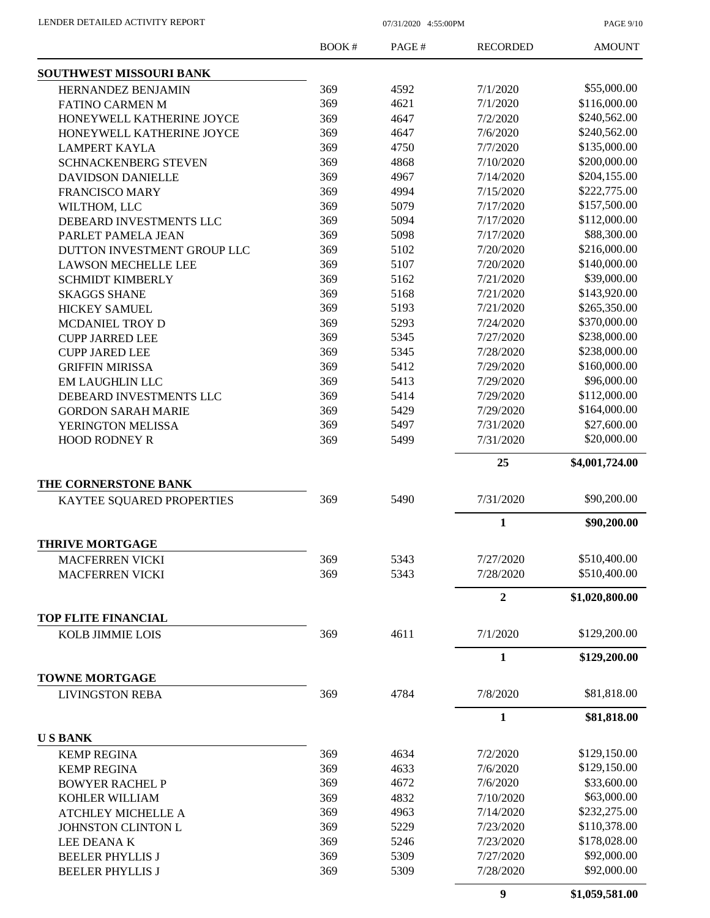PAGE 9/10

|                                                       | BOOK#      | PAGE#        | <b>RECORDED</b>  | <b>AMOUNT</b>  |
|-------------------------------------------------------|------------|--------------|------------------|----------------|
| <b>SOUTHWEST MISSOURI BANK</b>                        |            |              |                  |                |
| HERNANDEZ BENJAMIN                                    | 369        | 4592         | 7/1/2020         | \$55,000.00    |
| <b>FATINO CARMEN M</b>                                | 369        | 4621         | 7/1/2020         | \$116,000.00   |
| HONEYWELL KATHERINE JOYCE                             | 369        | 4647         | 7/2/2020         | \$240,562.00   |
| HONEYWELL KATHERINE JOYCE                             | 369        | 4647         | 7/6/2020         | \$240,562.00   |
| <b>LAMPERT KAYLA</b>                                  | 369        | 4750         | 7/7/2020         | \$135,000.00   |
| <b>SCHNACKENBERG STEVEN</b>                           | 369        | 4868         | 7/10/2020        | \$200,000.00   |
| <b>DAVIDSON DANIELLE</b>                              | 369        | 4967         | 7/14/2020        | \$204,155.00   |
| <b>FRANCISCO MARY</b>                                 | 369        | 4994         | 7/15/2020        | \$222,775.00   |
| WILTHOM, LLC                                          | 369        | 5079         | 7/17/2020        | \$157,500.00   |
| DEBEARD INVESTMENTS LLC                               | 369        | 5094         | 7/17/2020        | \$112,000.00   |
| PARLET PAMELA JEAN                                    | 369        | 5098         | 7/17/2020        | \$88,300.00    |
| DUTTON INVESTMENT GROUP LLC                           | 369        | 5102         | 7/20/2020        | \$216,000.00   |
| <b>LAWSON MECHELLE LEE</b>                            | 369        | 5107         | 7/20/2020        | \$140,000.00   |
| <b>SCHMIDT KIMBERLY</b>                               | 369        | 5162         | 7/21/2020        | \$39,000.00    |
| <b>SKAGGS SHANE</b>                                   | 369        | 5168         | 7/21/2020        | \$143,920.00   |
| <b>HICKEY SAMUEL</b>                                  | 369        | 5193         | 7/21/2020        | \$265,350.00   |
| <b>MCDANIEL TROY D</b>                                | 369        | 5293         | 7/24/2020        | \$370,000.00   |
| <b>CUPP JARRED LEE</b>                                | 369        | 5345         | 7/27/2020        | \$238,000.00   |
| <b>CUPP JARED LEE</b>                                 | 369        | 5345         | 7/28/2020        | \$238,000.00   |
| <b>GRIFFIN MIRISSA</b>                                | 369        | 5412         | 7/29/2020        | \$160,000.00   |
| <b>EM LAUGHLIN LLC</b>                                | 369        | 5413         | 7/29/2020        | \$96,000.00    |
| DEBEARD INVESTMENTS LLC                               | 369        | 5414         | 7/29/2020        | \$112,000.00   |
| <b>GORDON SARAH MARIE</b>                             | 369        | 5429         | 7/29/2020        | \$164,000.00   |
| YERINGTON MELISSA                                     | 369        | 5497         | 7/31/2020        | \$27,600.00    |
| <b>HOOD RODNEY R</b>                                  | 369        | 5499         | 7/31/2020        | \$20,000.00    |
|                                                       |            |              | 25               |                |
| THE CORNERSTONE BANK                                  |            |              |                  | \$4,001,724.00 |
| KAYTEE SQUARED PROPERTIES                             | 369        | 5490         | 7/31/2020        | \$90,200.00    |
|                                                       |            |              | 1                | \$90,200.00    |
| <b>THRIVE MORTGAGE</b>                                |            |              |                  |                |
|                                                       |            |              |                  | \$510,400.00   |
| <b>MACFERREN VICKI</b>                                | 369<br>369 | 5343<br>5343 | 7/27/2020        | \$510,400.00   |
| <b>MACFERREN VICKI</b>                                |            |              | 7/28/2020        |                |
|                                                       |            |              | $\overline{2}$   | \$1,020,800.00 |
| <b>TOP FLITE FINANCIAL</b><br><b>KOLB JIMMIE LOIS</b> | 369        | 4611         | 7/1/2020         | \$129,200.00   |
|                                                       |            |              | 1                | \$129,200.00   |
| <b>TOWNE MORTGAGE</b>                                 |            |              |                  |                |
| <b>LIVINGSTON REBA</b>                                | 369        | 4784         | 7/8/2020         | \$81,818.00    |
|                                                       |            |              | $\mathbf{1}$     | \$81,818.00    |
| <b>USBANK</b>                                         |            |              |                  |                |
| <b>KEMP REGINA</b>                                    | 369        | 4634         | 7/2/2020         | \$129,150.00   |
| <b>KEMP REGINA</b>                                    | 369        | 4633         | 7/6/2020         | \$129,150.00   |
| <b>BOWYER RACHEL P</b>                                | 369        | 4672         | 7/6/2020         | \$33,600.00    |
| KOHLER WILLIAM                                        | 369        | 4832         | 7/10/2020        | \$63,000.00    |
| <b>ATCHLEY MICHELLE A</b>                             | 369        | 4963         | 7/14/2020        | \$232,275.00   |
| JOHNSTON CLINTON L                                    | 369        | 5229         | 7/23/2020        | \$110,378.00   |
| LEE DEANAK                                            | 369        | 5246         | 7/23/2020        | \$178,028.00   |
| <b>BEELER PHYLLIS J</b>                               | 369        | 5309         | 7/27/2020        | \$92,000.00    |
| <b>BEELER PHYLLIS J</b>                               | 369        | 5309         | 7/28/2020        | \$92,000.00    |
|                                                       |            |              | $\boldsymbol{9}$ | \$1,059,581.00 |